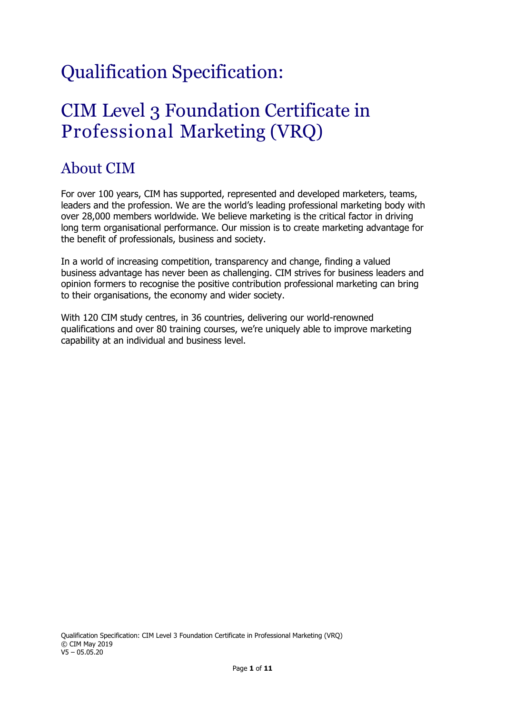# Qualification Specification:

# CIM Level 3 Foundation Certificate in Professional Marketing (VRQ)

# About CIM

For over 100 years, CIM has supported, represented and developed marketers, teams, leaders and the profession. We are the world's leading professional marketing body with over 28,000 members worldwide. We believe marketing is the critical factor in driving long term organisational performance. Our mission is to create marketing advantage for the benefit of professionals, business and society.

In a world of increasing competition, transparency and change, finding a valued business advantage has never been as challenging. CIM strives for business leaders and opinion formers to recognise the positive contribution professional marketing can bring to their organisations, the economy and wider society.

With 120 CIM study centres, in 36 countries, delivering our world-renowned qualifications and over 80 training courses, we're uniquely able to improve marketing capability at an individual and business level.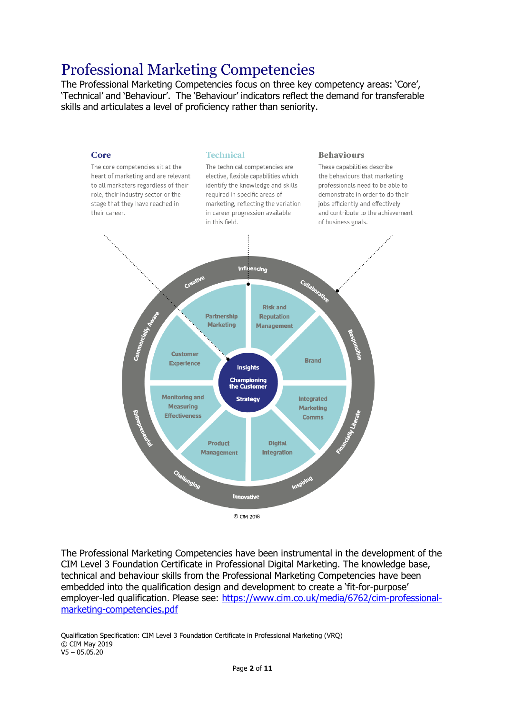## Professional Marketing Competencies

The Professional Marketing Competencies focus on three key competency areas: 'Core', 'Technical' and 'Behaviour'. The 'Behaviour' indicators reflect the demand for transferable skills and articulates a level of proficiency rather than seniority.



The Professional Marketing Competencies have been instrumental in the development of the CIM Level 3 Foundation Certificate in Professional Digital Marketing. The knowledge base, technical and behaviour skills from the Professional Marketing Competencies have been embedded into the qualification design and development to create a 'fit-for-purpose' employer-led qualification. Please see: [https://www.cim.co.uk/media/6762/cim-professional](https://www.cim.co.uk/media/6762/cim-professional-marketing-competencies.pdf)[marketing-competencies.pdf](https://www.cim.co.uk/media/6762/cim-professional-marketing-competencies.pdf)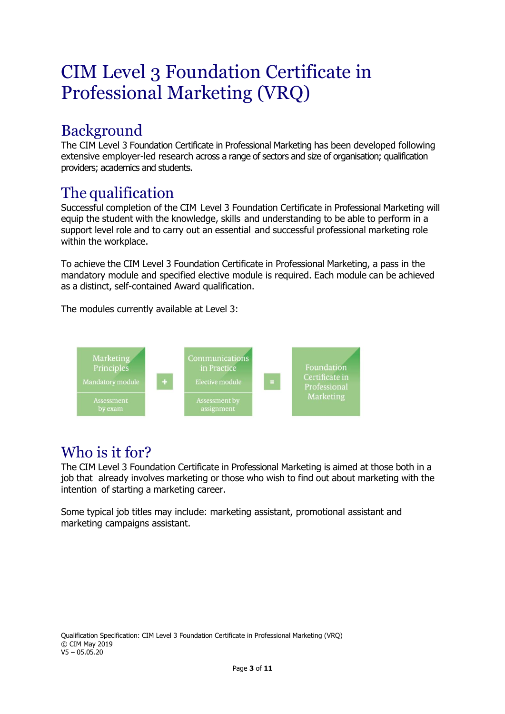# CIM Level 3 Foundation Certificate in Professional Marketing (VRQ)

# Background

The CIM Level 3 Foundation Certificate in Professional Marketing has been developed following extensive employer-led research across a range of sectors and size of organisation; qualification providers; academics and students.

## The qualification

Successful completion of the CIM Level 3 Foundation Certificate in Professional Marketing will equip the student with the knowledge, skills and understanding to be able to perform in a support level role and to carry out an essential and successful professional marketing role within the workplace.

To achieve the CIM Level 3 Foundation Certificate in Professional Marketing, a pass in the mandatory module and specified elective module is required. Each module can be achieved as a distinct, self-contained Award qualification.

The modules currently available at Level 3:



### Who is it for?

The CIM Level 3 Foundation Certificate in Professional Marketing is aimed at those both in a job that already involves marketing or those who wish to find out about marketing with the intention of starting a marketing career.

Some typical job titles may include: marketing assistant, promotional assistant and marketing campaigns assistant.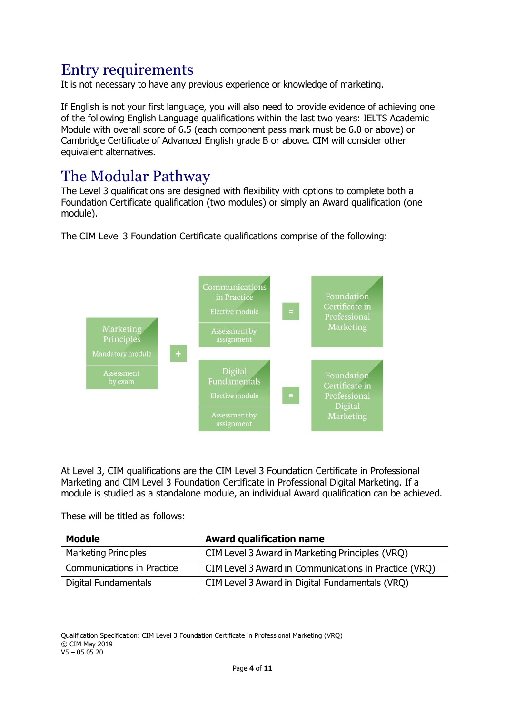## Entry requirements

It is not necessary to have any previous experience or knowledge of marketing.

If English is not your first language, you will also need to provide evidence of achieving one of the following English Language qualifications within the last two years: IELTS Academic Module with overall score of 6.5 (each component pass mark must be 6.0 or above) or Cambridge Certificate of Advanced English grade B or above. CIM will consider other equivalent alternatives.

#### The Modular Pathway

The Level 3 qualifications are designed with flexibility with options to complete both a Foundation Certificate qualification (two modules) or simply an Award qualification (one module).

The CIM Level 3 Foundation Certificate qualifications comprise of the following:



At Level 3, CIM qualifications are the CIM Level 3 Foundation Certificate in Professional Marketing and CIM Level 3 Foundation Certificate in Professional Digital Marketing. If a module is studied as a standalone module, an individual Award qualification can be achieved.

These will be titled as follows:

| <b>Module</b>               | <b>Award qualification name</b>                       |
|-----------------------------|-------------------------------------------------------|
| <b>Marketing Principles</b> | CIM Level 3 Award in Marketing Principles (VRQ)       |
| Communications in Practice  | CIM Level 3 Award in Communications in Practice (VRO) |
| Digital Fundamentals        | CIM Level 3 Award in Digital Fundamentals (VRQ)       |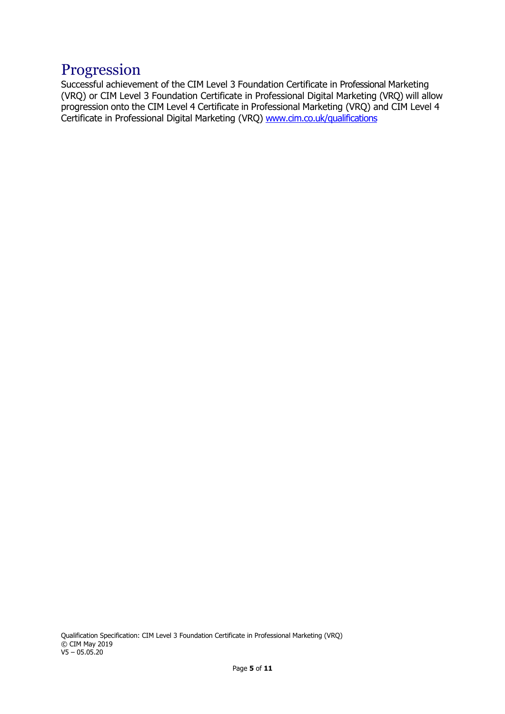#### Progression

Successful achievement of the CIM Level 3 Foundation Certificate in Professional Marketing (VRQ) or CIM Level 3 Foundation Certificate in Professional Digital Marketing (VRQ) will allow progression onto the CIM Level 4 Certificate in Professional Marketing (VRQ) and CIM Level 4 Certificate in Professional Digital Marketing (VRQ) [www.cim.co.uk/qualifications](http://www.cim.co.uk/qualifications)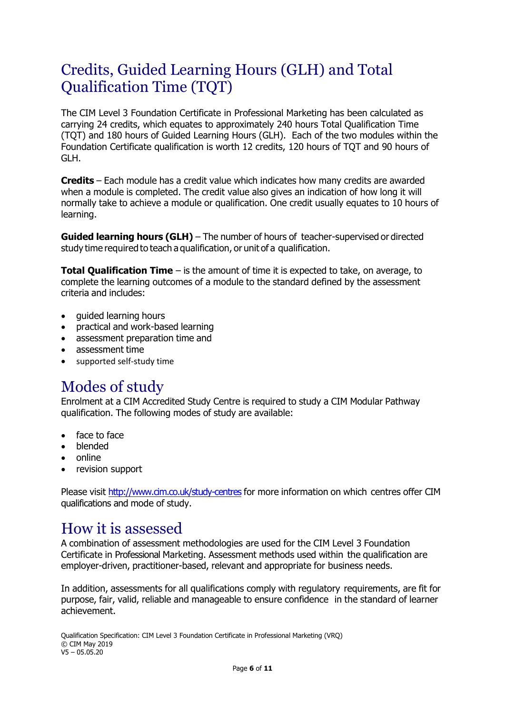# Credits, Guided Learning Hours (GLH) and Total Qualification Time (TQT)

The CIM Level 3 Foundation Certificate in Professional Marketing has been calculated as carrying 24 credits, which equates to approximately 240 hours Total Qualification Time (TQT) and 180 hours of Guided Learning Hours (GLH). Each of the two modules within the Foundation Certificate qualification is worth 12 credits, 120 hours of TQT and 90 hours of GLH.

**Credits** – Each module has a credit value which indicates how many credits are awarded when a module is completed. The credit value also gives an indication of how long it will normally take to achieve a module or qualification. One credit usually equates to 10 hours of learning.

**Guided learning hours (GLH)** – The number of hours of teacher-supervised or directed study time required to teach a qualification, or unit of a qualification.

**Total Qualification Time** – is the amount of time it is expected to take, on average, to complete the learning outcomes of a module to the standard defined by the assessment criteria and includes:

- guided learning hours
- practical and work-based learning
- assessment preparation time and
- assessment time
- supported self-study time

#### Modes of study

Enrolment at a CIM Accredited Study Centre is required to study a CIM Modular Pathway qualification. The following modes of study are available:

- face to face
- blended
- online
- revision support

Please visit <http://www.cim.co.uk/study-centres> for more information on which centres offer CIM qualifications and mode of study.

### How it is assessed

A combination of assessment methodologies are used for the CIM Level 3 Foundation Certificate in Professional Marketing. Assessment methods used within the qualification are employer-driven, practitioner-based, relevant and appropriate for business needs.

In addition, assessments for all qualifications comply with regulatory requirements, are fit for purpose, fair, valid, reliable and manageable to ensure confidence in the standard of learner achievement.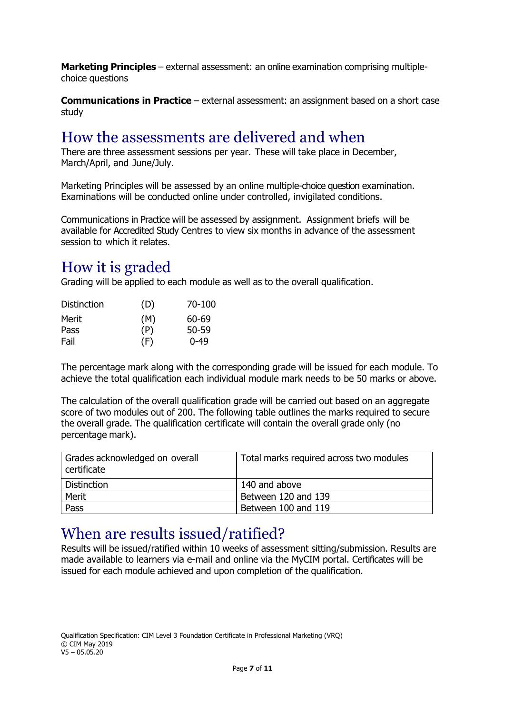**Marketing Principles** – external assessment: an online examination comprising multiplechoice questions

**Communications in Practice** – external assessment: an assignment based on a short case study

#### How the assessments are delivered and when

There are three assessment sessions per year. These will take place in December, March/April, and June/July.

Marketing Principles will be assessed by an online multiple-choice question examination. Examinations will be conducted online under controlled, invigilated conditions.

Communications in Practice will be assessed by assignment. Assignment briefs will be available for Accredited Study Centres to view six months in advance of the assessment session to which it relates.

#### How it is graded

Grading will be applied to each module as well as to the overall qualification.

| <b>Distinction</b> | (D) | 70-100   |
|--------------------|-----|----------|
| <b>Merit</b>       | (M) | 60-69    |
| Pass               | (P) | 50-59    |
| Fail               | (F) | $0 - 49$ |

The percentage mark along with the corresponding grade will be issued for each module. To achieve the total qualification each individual module mark needs to be 50 marks or above.

The calculation of the overall qualification grade will be carried out based on an aggregate score of two modules out of 200. The following table outlines the marks required to secure the overall grade. The qualification certificate will contain the overall grade only (no percentage mark).

| Grades acknowledged on overall<br>l certificate | Total marks required across two modules |
|-------------------------------------------------|-----------------------------------------|
| Distinction                                     | 140 and above                           |
| Merit                                           | Between 120 and 139                     |
| Pass                                            | Between 100 and 119                     |

#### When are results issued/ratified?

Results will be issued/ratified within 10 weeks of assessment sitting/submission. Results are made available to learners via e-mail and online via the MyCIM portal. Certificates will be issued for each module achieved and upon completion of the qualification.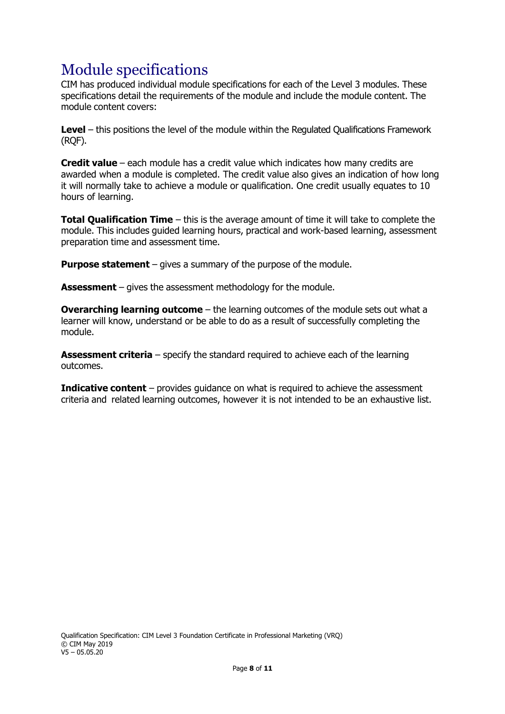# Module specifications

CIM has produced individual module specifications for each of the Level 3 modules. These specifications detail the requirements of the module and include the module content. The module content covers:

**Level** – this positions the level of the module within the Regulated Qualifications Framework (RQF).

**Credit value** – each module has a credit value which indicates how many credits are awarded when a module is completed. The credit value also gives an indication of how long it will normally take to achieve a module or qualification. One credit usually equates to 10 hours of learning.

**Total Qualification Time** – this is the average amount of time it will take to complete the module. This includes guided learning hours, practical and work-based learning, assessment preparation time and assessment time.

**Purpose statement** – gives a summary of the purpose of the module.

**Assessment** – gives the assessment methodology for the module.

**Overarching learning outcome** – the learning outcomes of the module sets out what a learner will know, understand or be able to do as a result of successfully completing the module.

**Assessment criteria** – specify the standard required to achieve each of the learning outcomes.

**Indicative content** – provides guidance on what is required to achieve the assessment criteria and related learning outcomes, however it is not intended to be an exhaustive list.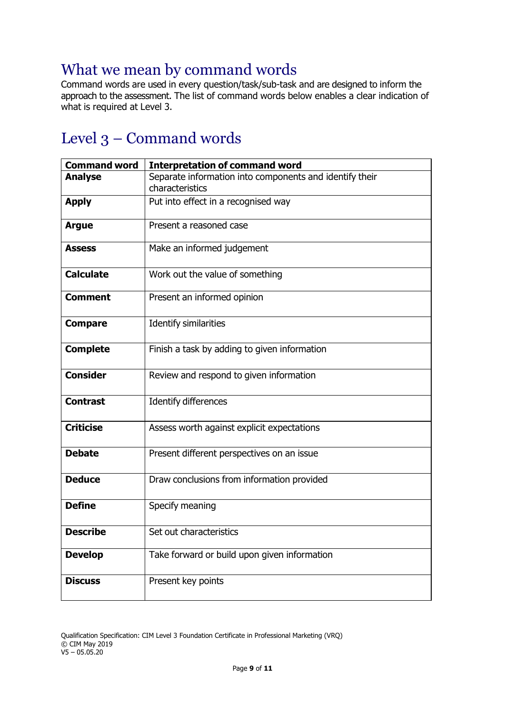## What we mean by command words

Command words are used in every question/task/sub-task and are designed to inform the approach to the assessment. The list of command words below enables a clear indication of what is required at Level 3.

# Level 3 – Command words

| <b>Command word</b> | <b>Interpretation of command word</b>                                      |
|---------------------|----------------------------------------------------------------------------|
| <b>Analyse</b>      | Separate information into components and identify their<br>characteristics |
| <b>Apply</b>        | Put into effect in a recognised way                                        |
| <b>Argue</b>        | Present a reasoned case                                                    |
| <b>Assess</b>       | Make an informed judgement                                                 |
| <b>Calculate</b>    | Work out the value of something                                            |
| <b>Comment</b>      | Present an informed opinion                                                |
| <b>Compare</b>      | <b>Identify similarities</b>                                               |
| <b>Complete</b>     | Finish a task by adding to given information                               |
| <b>Consider</b>     | Review and respond to given information                                    |
| <b>Contrast</b>     | Identify differences                                                       |
| <b>Criticise</b>    | Assess worth against explicit expectations                                 |
| <b>Debate</b>       | Present different perspectives on an issue                                 |
| <b>Deduce</b>       | Draw conclusions from information provided                                 |
| <b>Define</b>       | Specify meaning                                                            |
| <b>Describe</b>     | Set out characteristics                                                    |
| <b>Develop</b>      | Take forward or build upon given information                               |
| <b>Discuss</b>      | Present key points                                                         |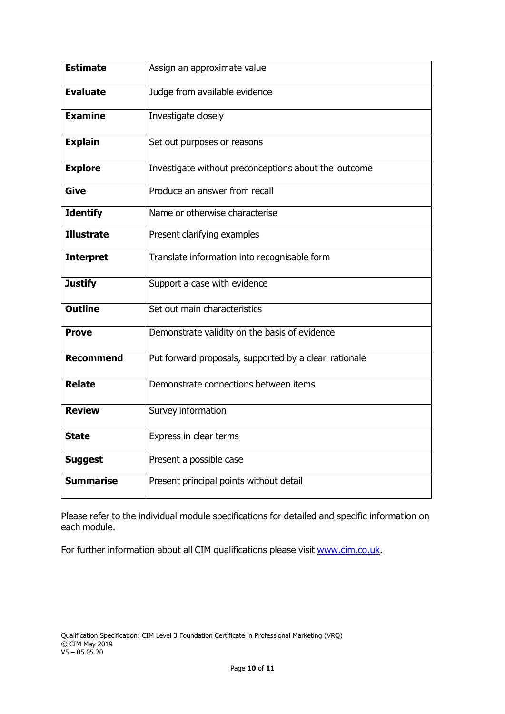| <b>Estimate</b>   | Assign an approximate value                           |
|-------------------|-------------------------------------------------------|
| <b>Evaluate</b>   | Judge from available evidence                         |
| <b>Examine</b>    | Investigate closely                                   |
| <b>Explain</b>    | Set out purposes or reasons                           |
| <b>Explore</b>    | Investigate without preconceptions about the outcome  |
| <b>Give</b>       | Produce an answer from recall                         |
| <b>Identify</b>   | Name or otherwise characterise                        |
| <b>Illustrate</b> | Present clarifying examples                           |
| <b>Interpret</b>  | Translate information into recognisable form          |
| <b>Justify</b>    | Support a case with evidence                          |
| <b>Outline</b>    | Set out main characteristics                          |
| <b>Prove</b>      | Demonstrate validity on the basis of evidence         |
| <b>Recommend</b>  | Put forward proposals, supported by a clear rationale |
| <b>Relate</b>     | Demonstrate connections between items                 |
| <b>Review</b>     | Survey information                                    |
| <b>State</b>      | Express in clear terms                                |
| <b>Suggest</b>    | Present a possible case                               |
| <b>Summarise</b>  | Present principal points without detail               |

Please refer to the individual module specifications for detailed and specific information on each module.

For further information about all CIM qualifications please visit [www.cim.co.uk.](http://www.cim.co.uk/)